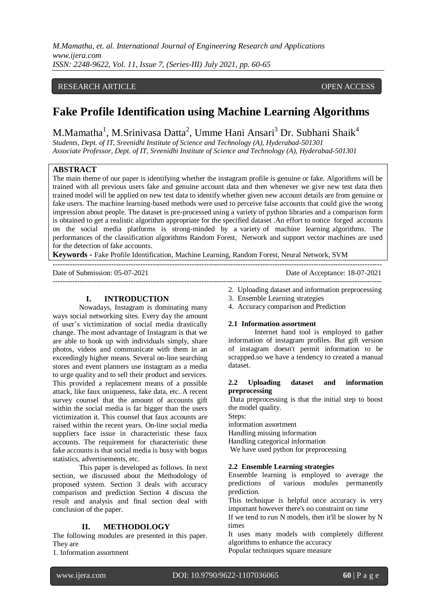*M.Mamatha, et. al. International Journal of Engineering Research and Applications www.ijera.com ISSN: 2248-9622, Vol. 11, Issue 7, (Series-III) July 2021, pp. 60-65*

# RESEARCH ARTICLE **CONTRACT ARTICLE** AND A SERVICE OPEN ACCESS OPEN ACCESS

# **Fake Profile Identification using Machine Learning Algorithms**

M.Mamatha<sup>1</sup>, M.Srinivasa Datta<sup>2</sup>, Umme Hani Ansari<sup>3</sup> Dr. Subhani Shaik<sup>4</sup>

*Students, Dept. of IT, Sreenidhi Institute of Science and Technology (A), Hyderabad-501301 Associate Professor, Dept. of IT, Sreenidhi Institute of Science and Technology (A), Hyderabad-501301*

# **ABSTRACT**

The main theme of our paper is identifying whether the instagram profile is genuine or fake. Algorithms will be trained with all previous users fake and genuine account data and then whenever we give new test data then trained model will be applied on new test data to identify whether given new account details are from genuine or fake users. The machine learning-based methods were used to perceive false accounts that could give the wrong impression about people. The dataset is pre-processed using a variety of python libraries and a comparison form is obtained to get a realistic algorithm appropriate for the specified dataset .An effort to notice forged accounts on the social media platforms is strong-minded by a variety of machine learning algorithms. The performances of the classification algorithms Random Forest, Network and support vector machines are used for the detection of fake accounts.

**Keywords -** Fake Profile Identification, Machine Learning, Random Forest, Neural Network, SVM

| Date of Submission: 05-07-2021 | Date of Acceptance: 18-07-2021 |
|--------------------------------|--------------------------------|
|                                |                                |

#### **I. INTRODUCTION**

Nowadays, Instagram is dominating many ways social networking sites. Every day the amount of user's victimization of social media drastically change. The most advantage of Instagram is that we are able to hook up with individuals simply, share photos, videos and communicate with them in an exceedingly higher means. Several on-line searching stores and event planners use instagram as a media to urge quality and to sell their product and services. This provided a replacement means of a possible attack, like faux uniqueness, fake data, etc. A recent survey counsel that the amount of accounts gift within the social media is far bigger than the users victimization it. This counsel that faux accounts are raised within the recent years. On-line social media suppliers face issue in characteristic these faux accounts. The requirement for characteristic these fake accounts is that social media is busy with bogus statistics, advertisements, etc.

This paper is developed as follows. In next section, we discussed about the Methodology of proposed system. Section 3 deals with accuracy comparison and prediction Section 4 discuss the result and analysis and final section deal with conclusion of the paper.

# **II. METHODOLOGY**

The following modules are presented in this paper. They are

1. Information assortment

- 2. Uploading dataset and information preprocessing
- 3. Ensemble Learning strategies
- 4. Accuracy comparison and Prediction

## **2.1 Information assortment**

Internet hand tool is employed to gather information of instagram profiles. But gift version of instagram doesn't permit information to be scrapped.so we have a tendency to created a manual dataset.

# **2.2 Uploading dataset and information preprocessing**

Data preprocessing is that the initial step to boost the model quality.

Steps:

information assortment

Handling missing information

Handling categorical information

We have used python for preprocessing

#### **2.2 Ensemble Learning strategies**

Ensemble learning is employed to average the predictions of various modules permanently prediction.

This technique is helpful once accuracy is very important however there's no constraint on time

If we tend to run N models, then it'll be slower by N times

It uses many models with completely different algorithms to enhance the accuracy Popular techniques square measure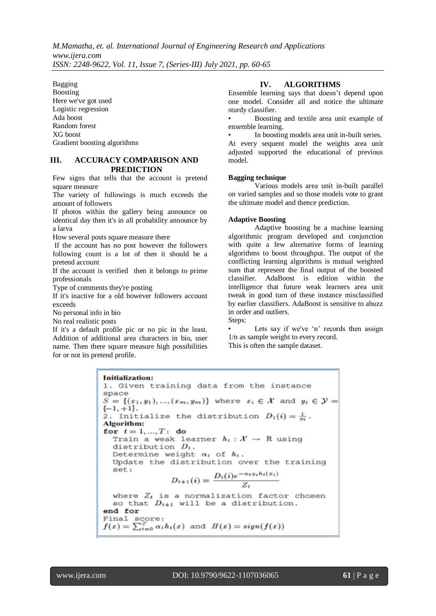*M.Mamatha, et. al. International Journal of Engineering Research and Applications www.ijera.com ISSN: 2248-9622, Vol. 11, Issue 7, (Series-III) July 2021, pp. 60-65*

Bagging Boosting Here we've got used Logistic regression Ada boost Random forest XG boost Gradient boosting algorithms

# **III. ACCURACY COMPARISON AND PREDICTION**

Few signs that tells that the account is pretend square measure

The variety of followings is much exceeds the amount of followers

If photos within the gallery being announce on identical day then it's in all probability announce by a larva

How several posts square measure there

If the account has no post however the followers following count is a lot of then it should be a pretend account

If the account is verified then it belongs to prime professionals

Type of comments they're posting

If it's inactive for a old however followers account exceeds

No personal info in bio

No real realistic posts

If it's a default profile pic or no pic in the least. Addition of additional area characters in bio, user name. Then there square measure high possibilities for or not its pretend profile.

# **IV. ALGORITHMS**

Ensemble learning says that doesn't depend upon one model. Consider all and notice the ultimate sturdy classifier.

• Boosting and textile area unit example of ensemble learning.

In boosting models area unit in-built series. At every sequent model the weights area unit adjusted supported the educational of previous model.

#### **Bagging technique**

Various models area unit in-built parallel on varied samples and so those models vote to grant the ultimate model and thence prediction.

#### **Adaptive Boosting**

Adaptive boosting be a machine learning algorithmic program developed and conjunction with quite a few alternative forms of learning algorithms to boost throughput. The output of the conflicting learning algorithms is mutual weighted sum that represent the final output of the boosted classifier. AdaBoost is edition within the intelligence that future weak learners area unit tweak in good turn of these instance misclassified by earlier classifiers. AdaBoost is sensitive to abuzz in order and outliers. Steps:

Lets say if we've 'n' records then assign 1/n as sample weight to every record.

This is often the sample dataset.

**Initialization:** 1. Given training data from the instance space  $S = \{(x_1, y_1), ..., (x_m, y_m)\}\$  where  $x_i \in \mathcal{X}$  and  $y_i \in \mathcal{Y} =$  $\{-1, +1\}.$ 2. Initialize the distribution  $D_1(i) = \frac{1}{m}$ . Algorithm: for  $t = 1, ..., T$ : do Train a weak learner  $h_t: \mathcal{X} \rightarrow \mathbb{R}$  using distribution  $D_t$ . Determine weight  $\alpha_t$  of  $h_t$ . Update the distribution over the training set:  $D_{t+1}(i) = \frac{D_t(i)e^{-\alpha_t y_i h_t(x_i)}}{Z_t}$ where  $Z_t$  is a normalization factor chosen so that  $D_{t+1}$  will be a distribution. end for Final score:  $f(x) = \sum_{t=0}^{T} \alpha_t h_t(x)$  and  $H(x) = sign(f(x))$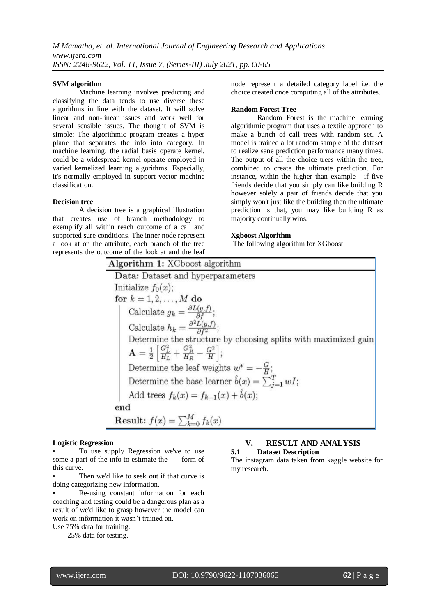## **SVM algorithm**

Machine learning involves predicting and classifying the data tends to use diverse these algorithms in line with the dataset. It will solve linear and non-linear issues and work well for several sensible issues. The thought of SVM is simple: The algorithmic program creates a hyper plane that separates the info into category. In machine learning, the radial basis operate kernel, could be a widespread kernel operate employed in varied kernelized learning algorithms. Especially, it's normally employed in support vector machine classification.

# **Decision tree**

A decision tree is a graphical illustration that creates use of branch methodology to exemplify all within reach outcome of a call and supported sure conditions. The inner node represent a look at on the attribute, each branch of the tree represents the outcome of the look at and the leaf node represent a detailed category label i.e. the choice created once computing all of the attributes.

#### **Random Forest Tree**

Random Forest is the machine learning algorithmic program that uses a textile approach to make a bunch of call trees with random set. A model is trained a lot random sample of the dataset to realize sane prediction performance many times. The output of all the choice trees within the tree, combined to create the ultimate prediction. For instance, within the higher than example - if five friends decide that you simply can like building R however solely a pair of friends decide that you simply won't just like the building then the ultimate prediction is that, you may like building R as majority continually wins.

## **Xgboost Algorithm**

The following algorithm for XGboost.

| Algorithm 1: XGboost algorithm                                                                   |
|--------------------------------------------------------------------------------------------------|
| Data: Dataset and hyperparameters                                                                |
| Initialize $f_0(x)$ ;                                                                            |
| for $k = 1, 2, , M$ do                                                                           |
| Calculate $g_k = \frac{\partial L(y, f)}{\partial f};$                                           |
| Calculate $h_k = \frac{\partial^2 L(y, f)}{\partial f^2};$                                       |
| Determine the structure by choosing splits with maximized gain                                   |
| $\mathbf{A} = \frac{1}{2} \left[ \frac{G_L^2}{H_L} + \frac{G_R^2}{H_R} - \frac{G^2}{H} \right];$ |
| Determine the leaf weights $w^* = -\frac{G}{H}$ ;                                                |
| Determine the base learner $\hat{b}(x) = \sum_{i=1}^{T} wI$ ;                                    |
| Add trees $f_k(x) = f_{k-1}(x) + b(x);$                                                          |
| end                                                                                              |
| Result: $f(x) = \sum_{k=0}^{M} f_k(x)$                                                           |

#### **Logistic Regression**

To use supply Regression we've to use some a part of the info to estimate the form of this curve.

Then we'd like to seek out if that curve is doing categorizing new information.

• Re-using constant information for each coaching and testing could be a dangerous plan as a result of we'd like to grasp however the model can work on information it wasn't trained on.

Use 75% data for training.

25% data for testing.

## **V. RESULT AND ANALYSIS 5.1 Dataset Description**

The instagram data taken from kaggle website for my research.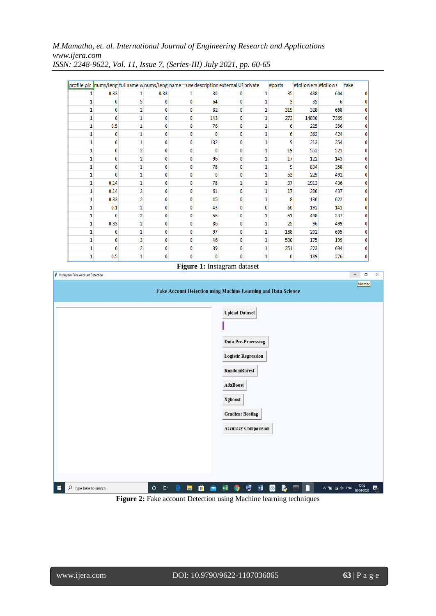# *M.Mamatha, et. al. International Journal of Engineering Research and Applications www.ijera.com*

|   |      |                |      |              |              | profile pic nums/leng fullname w nums/leng name==use description external UF private |   | #posts | #followers #follows |      | fake |
|---|------|----------------|------|--------------|--------------|--------------------------------------------------------------------------------------|---|--------|---------------------|------|------|
|   | 0.33 | 1              | 0.33 | 1            | 30           |                                                                                      |   | 35     | 488                 | 604  |      |
|   | 0    | 5              | 0    | 0            | 64           |                                                                                      |   | 3      | 35                  | 6    |      |
| 1 | 0    | $\overline{2}$ | 0    | $\bf{0}$     | 82           |                                                                                      |   | 319    | 328                 | 668  |      |
| 1 | 0    | 1              | 0    | 0            | 143          | n                                                                                    |   | 273    | 14890               | 7369 |      |
| 1 | 0.5  | 1              | 0    | 0            | 76           |                                                                                      |   | 6      | 225                 | 356  |      |
| 1 | 0    | 1              | 0    | 0            | $\Omega$     |                                                                                      |   | 6      | 362                 | 424  |      |
| 1 | 0    | 1              | 0    | 0            | 132          | Ω                                                                                    |   | 9      | 213                 | 254  |      |
| 1 | 0    | 2              | 0    | 0            | n            |                                                                                      | 1 | 19     | 552                 | 521  |      |
| 1 | 0    | $\overline{2}$ | 0    | 0            | 96           |                                                                                      |   | 17     | 122                 | 143  |      |
| 1 | 0    | 1              | 0    | 0            | 78           | Ω                                                                                    |   | 9      | 834                 | 358  |      |
| 1 | 0    | 1              | 0    | 0            | n            |                                                                                      | 1 | 53     | 229                 | 492  |      |
| 1 | 0.14 | 1              | 0    | 0            | 78           |                                                                                      |   | 97     | 1913                | 436  |      |
| 1 | 0.14 | 2              | 0    | 0            | 61           | n                                                                                    |   | 17     | 200                 | 437  |      |
| 1 | 0.33 | 2              | 0    | 0            | 45           |                                                                                      | 1 | 8      | 130                 | 622  |      |
| 1 | 0.1  | $\overline{2}$ | 0    | $\bf{0}$     | 43           |                                                                                      |   | 60     | 192                 | 141  |      |
| 1 | 0    | $\overline{2}$ | 0    | 0            | 56           | n                                                                                    | 1 | 51     | 498                 | 337  |      |
| 1 | 0.33 | 2              | 0    | 0            | 86           |                                                                                      | 1 | 25     | 96                  | 499  |      |
| 1 | 0    | 1              | 0    | 0            | 97           |                                                                                      |   | 188    | 202                 | 605  |      |
| 1 | 0    | 3              | 0    | 0            | 46           | Λ                                                                                    | 1 | 590    | 175                 | 199  |      |
| 1 | 0    | 2              | 0    | 0            | 39           |                                                                                      |   | 251    | 223                 | 694  |      |
| 1 | 0.5  | 1              | 0    | $\mathbf{0}$ | $\mathbf{0}$ |                                                                                      |   | 0      | 189                 | 276  |      |

*ISSN: 2248-9622, Vol. 11, Issue 7, (Series-III) July 2021, pp. 60-65*





Figure 2: Fake account Detection using Machine learning techniques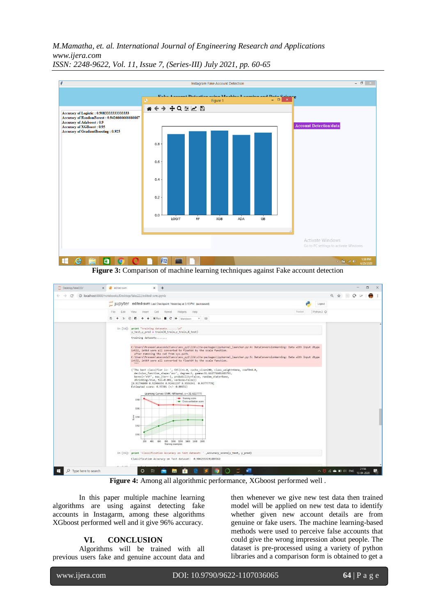*M.Mamatha, et. al. International Journal of Engineering Research and Applications www.ijera.com*



*ISSN: 2248-9622, Vol. 11, Issue 7, (Series-III) July 2021, pp. 60-65*

**Figure 3:** Comparison of machine learning techniques against Fake account detection



**Figure 4:** Among all algorithmic performance, XGboost performed well .

In this paper multiple machine learning algorithms are using against detecting fake accounts in Instagarm, among these algorithms XGboost performed well and it give 96% accuracy.

# **VI. CONCLUSION**

Algorithms will be trained with all previous users fake and genuine account data and

then whenever we give new test data then trained model will be applied on new test data to identify whether given new account details are from genuine or fake users. The machine learning-based methods were used to perceive false accounts that could give the wrong impression about people. The dataset is pre-processed using a variety of python libraries and a comparison form is obtained to get a